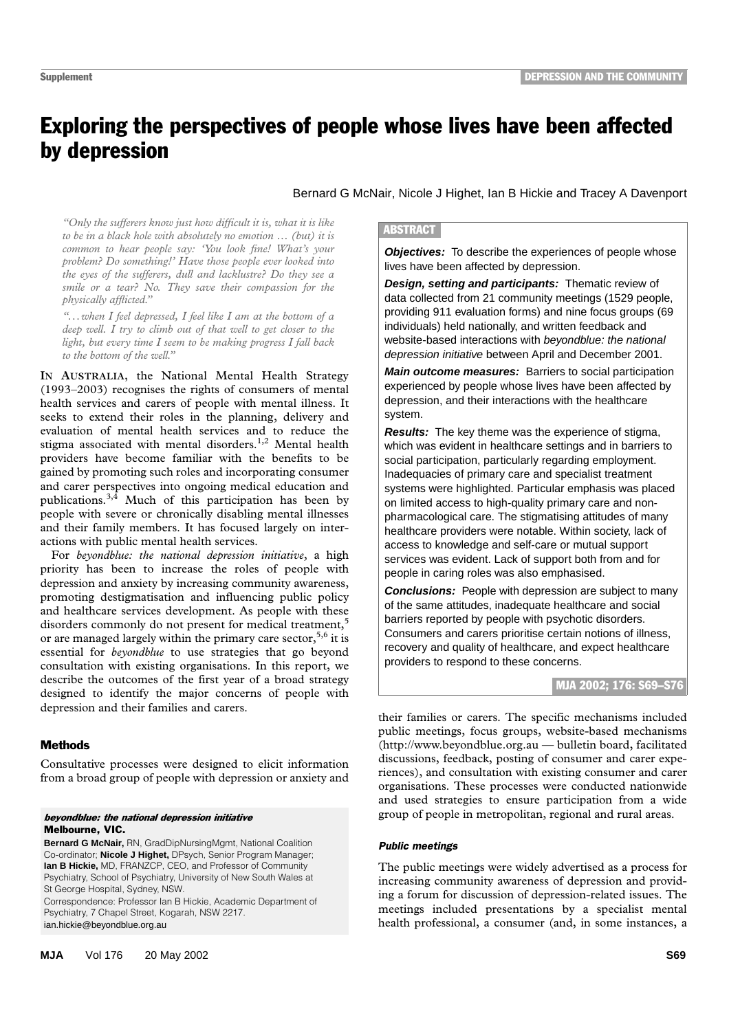# Exploring the perspectives of people whose lives have been affected by depression

Bernard G McNair, Nicole J Highet, Ian B Hickie and Tracey A Davenport

problem? Do something!' Have those people ever looked into the eyes of the sufferers, dull and lacklustre? Do they see a smile or a tear? No. They save their compassion for the *physically afflicted.*" *"Only the sufferers know just how difficult it is, what it is like to be in a black hole with absolutely no emotion … (but) it is common to hear people say: 'You look fine! What's your*

*"...when I feel depressed, I feel like I am at the bottom of a deep well. I try to climb out of that well to get closer to the light, but every time I seem to be making progress I fall back to the bottom of the well."*

**IN AUSTRALIA,** the National Mental Health Strategy (1993–2003) recognises the rights of consumers of mental health services and carers of people with mental illness. It seeks to extend their roles in the planning, delivery and evaluation of mental health services and to reduce the stigma associated with mental disorders.<sup>1,2</sup> Mental health providers have become familiar with the benefits to be gained by promoting such roles and incorporating consumer and carer perspectives into ongoing medical education and publications. $3,4$  Much of this participation has been by people with severe or chronically disabling mental illnesses and their family members. It has focused largely on interactions with public mental health services.

For *beyondblue: the national depression initiative*, a high priority has been to increase the roles of people with depression and anxiety by increasing community awareness, promoting destigmatisation and influencing public policy and healthcare services development. As people with these disorders commonly do not present for medical treatment,<sup>5</sup> or are managed largely within the primary care sector,  $5,6$  it is essential for *beyondblue* to use strategies that go beyond consultation with existing organisations. In this report, we describe the outcomes of the first year of a broad strategy designed to identify the major concerns of people with depression and their families and carers.

# Methods

Consultative processes were designed to elicit information from a broad group of people with depression or anxiety and

#### beyondblue: the national depression initiative Melbourne, VIC.

**Bernard G McNair,** RN, GradDipNursingMgmt, National Coalition Co-ordinator; **Nicole J Highet,** DPsych, Senior Program Manager; **Ian B Hickie,** MD, FRANZCP, CEO, and Professor of Community Psychiatry, School of Psychiatry, University of New South Wales at St George Hospital, Sydney, NSW.

Correspondence: Professor Ian B Hickie, Academic Department of Psychiatry, 7 Chapel Street, Kogarah, NSW 2217. ian.hickie@beyondblue.org.au

#### **ABSTRACT**

**Objectives:** To describe the experiences of people whose lives have been affected by depression.

**Design, setting and participants:** Thematic review of data collected from 21 community meetings (1529 people, providing 911 evaluation forms) and nine focus groups (69 individuals) held nationally, and written feedback and website-based interactions with beyondblue: the national depression initiative between April and December 2001.

**Main outcome measures:** Barriers to social participation experienced by people whose lives have been affected by depression, and their interactions with the healthcare system.

**Results:** The key theme was the experience of stigma, which was evident in healthcare settings and in barriers to social participation, particularly regarding employment. Inadequacies of primary care and specialist treatment systems were highlighted. Particular emphasis was placed on limited access to high-quality primary care and nonpharmacological care. The stigmatising attitudes of many healthcare providers were notable. Within society, lack of access to knowledge and self-care or mutual support services was evident. Lack of support both from and for people in caring roles was also emphasised.

**Conclusions:** People with depression are subject to many of the same attitudes, inadequate healthcare and social barriers reported by people with psychotic disorders. Consumers and carers prioritise certain notions of illness, recovery and quality of healthcare, and expect healthcare providers to respond to these concerns.

# MJA 2002; 176: S69–S76

their families or carers. The specific mechanisms included public meetings, focus groups, website-based mechanisms (http://www.beyondblue.org.au — bulletin board, facilitated discussions, feedback, posting of consumer and carer experiences), and consultation with existing consumer and carer organisations. These processes were conducted nationwide and used strategies to ensure participation from a wide group of people in metropolitan, regional and rural areas.

# *Public meetings*

The public meetings were widely advertised as a process for increasing community awareness of depression and providing a forum for discussion of depression-related issues. The meetings included presentations by a specialist mental health professional, a consumer (and, in some instances, a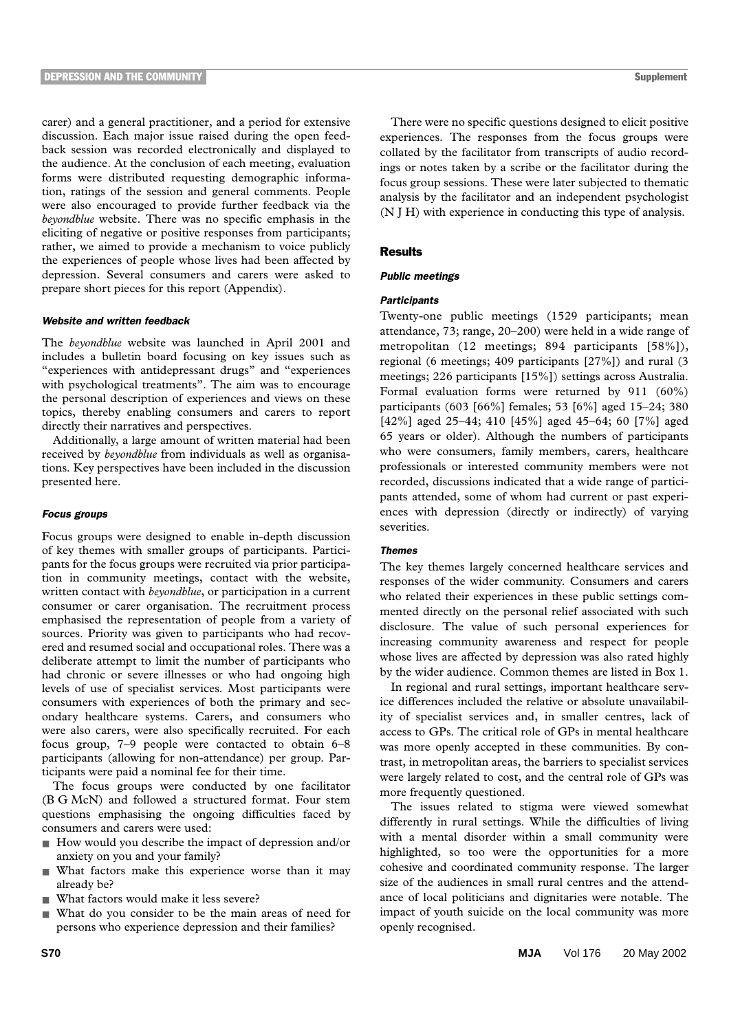carer) and a general practitioner, and a period for extensive discussion. Each major issue raised during the open feedback session was recorded electronically and displayed to the audience. At the conclusion of each meeting, evaluation forms were distributed requesting demographic information, ratings of the session and general comments. People were also encouraged to provide further feedback via the *beyondblue* website. There was no specific emphasis in the eliciting of negative or positive responses from participants; rather, we aimed to provide a mechanism to voice publicly the experiences of people whose lives had been affected by depression. Several consumers and carers were asked to prepare short pieces for this report (Appendix).

# *Website and written feedback*

The *beyondblue* website was launched in April 2001 and includes a bulletin board focusing on key issues such as "experiences with antidepressant drugs" and "experiences with psychological treatments". The aim was to encourage the personal description of experiences and views on these topics, thereby enabling consumers and carers to report directly their narratives and perspectives.

Additionally, a large amount of written material had been received by *beyondblue* from individuals as well as organisations. Key perspectives have been included in the discussion presented here.

#### *Focus groups*

Focus groups were designed to enable in-depth discussion of key themes with smaller groups of participants. Participants for the focus groups were recruited via prior participation in community meetings, contact with the website, written contact with *beyondblue*, or participation in a current consumer or carer organisation. The recruitment process emphasised the representation of people from a variety of sources. Priority was given to participants who had recovered and resumed social and occupational roles. There was a deliberate attempt to limit the number of participants who had chronic or severe illnesses or who had ongoing high levels of use of specialist services. Most participants were consumers with experiences of both the primary and secondary healthcare systems. Carers, and consumers who were also carers, were also specifically recruited. For each focus group, 7–9 people were contacted to obtain 6–8 participants (allowing for non-attendance) per group. Participants were paid a nominal fee for their time.

The focus groups were conducted by one facilitator (B G McN) and followed a structured format. Four stem questions emphasising the ongoing difficulties faced by consumers and carers were used:

- How would you describe the impact of depression and/or anxiety on you and your family?
- What factors make this experience worse than it may already be?
- What factors would make it less severe?
- What do you consider to be the main areas of need for persons who experience depression and their families?

There were no specific questions designed to elicit positive experiences. The responses from the focus groups were collated by the facilitator from transcripts of audio recordings or notes taken by a scribe or the facilitator during the focus group sessions. These were later subjected to thematic analysis by the facilitator and an independent psychologist (N J H) with experience in conducting this type of analysis.

# **Results**

# *Public meetings*

#### *Participants*

Twenty-one public meetings (1529 participants; mean attendance, 73; range, 20–200) were held in a wide range of metropolitan (12 meetings; 894 participants [58%]), regional (6 meetings; 409 participants [27%]) and rural (3 meetings; 226 participants [15%]) settings across Australia. Formal evaluation forms were returned by 911 (60%) participants (603 [66%] females; 53 [6%] aged 15–24; 380 [42%] aged 25–44; 410 [45%] aged 45–64; 60 [7%] aged 65 years or older). Although the numbers of participants who were consumers, family members, carers, healthcare professionals or interested community members were not recorded, discussions indicated that a wide range of participants attended, some of whom had current or past experiences with depression (directly or indirectly) of varying severities.

#### *Themes*

The key themes largely concerned healthcare services and responses of the wider community. Consumers and carers who related their experiences in these public settings commented directly on the personal relief associated with such disclosure. The value of such personal experiences for increasing community awareness and respect for people whose lives are affected by depression was also rated highly by the wider audience. Common themes are listed in Box 1.

In regional and rural settings, important healthcare service differences included the relative or absolute unavailability of specialist services and, in smaller centres, lack of access to GPs. The critical role of GPs in mental healthcare was more openly accepted in these communities. By contrast, in metropolitan areas, the barriers to specialist services were largely related to cost, and the central role of GPs was more frequently questioned.

The issues related to stigma were viewed somewhat differently in rural settings. While the difficulties of living with a mental disorder within a small community were highlighted, so too were the opportunities for a more cohesive and coordinated community response. The larger size of the audiences in small rural centres and the attendance of local politicians and dignitaries were notable. The impact of youth suicide on the local community was more openly recognised.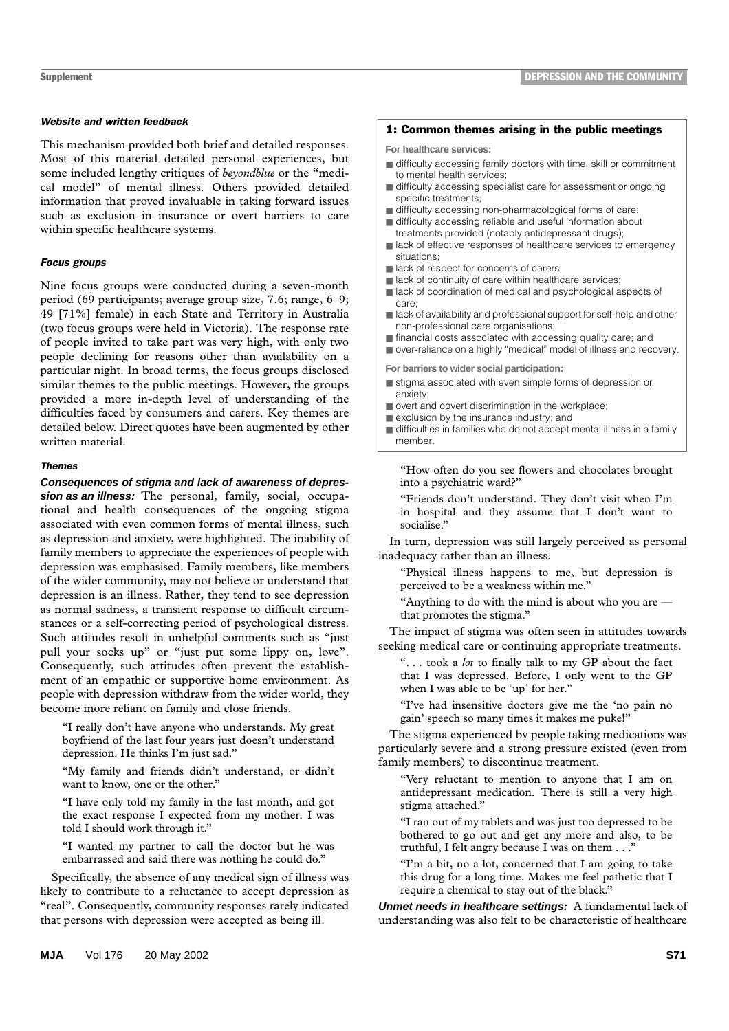# *Website and written feedback*

This mechanism provided both brief and detailed responses. Most of this material detailed personal experiences, but some included lengthy critiques of *beyondblue* or the "medical model" of mental illness. Others provided detailed information that proved invaluable in taking forward issues such as exclusion in insurance or overt barriers to care within specific healthcare systems.

# *Focus groups*

Nine focus groups were conducted during a seven-month period (69 participants; average group size, 7.6; range, 6–9; 49 [71%] female) in each State and Territory in Australia (two focus groups were held in Victoria). The response rate of people invited to take part was very high, with only two people declining for reasons other than availability on a particular night. In broad terms, the focus groups disclosed similar themes to the public meetings. However, the groups provided a more in-depth level of understanding of the difficulties faced by consumers and carers. Key themes are detailed below. Direct quotes have been augmented by other written material.

# *Themes*

**Consequences of stigma and lack of awareness of depression as an illness:** The personal, family, social, occupational and health consequences of the ongoing stigma associated with even common forms of mental illness, such as depression and anxiety, were highlighted. The inability of family members to appreciate the experiences of people with depression was emphasised. Family members, like members of the wider community, may not believe or understand that depression is an illness. Rather, they tend to see depression as normal sadness, a transient response to difficult circumstances or a self-correcting period of psychological distress. Such attitudes result in unhelpful comments such as "just pull your socks up" or "just put some lippy on, love". Consequently, such attitudes often prevent the establishment of an empathic or supportive home environment. As people with depression withdraw from the wider world, they become more reliant on family and close friends.

"I really don't have anyone who understands. My great boyfriend of the last four years just doesn't understand depression. He thinks I'm just sad."

"My family and friends didn't understand, or didn't want to know, one or the other."

"I have only told my family in the last month, and got the exact response I expected from my mother. I was told I should work through it."

"I wanted my partner to call the doctor but he was embarrassed and said there was nothing he could do."

Specifically, the absence of any medical sign of illness was likely to contribute to a reluctance to accept depression as "real". Consequently, community responses rarely indicated that persons with depression were accepted as being ill.

#### 1: Common themes arising in the public meetings

**For healthcare services:**

- difficulty accessing family doctors with time, skill or commitment to mental health services;
- difficulty accessing specialist care for assessment or ongoing specific treatments;
- difficulty accessing non-pharmacological forms of care;
- difficulty accessing reliable and useful information about treatments provided (notably antidepressant drugs);
- lack of effective responses of healthcare services to emergency situations;
- lack of respect for concerns of carers;
- lack of continuity of care within healthcare services; ■ lack of coordination of medical and psychological aspects of care;
- lack of availability and professional support for self-help and other non-professional care organisations;
- financial costs associated with accessing quality care; and
- over-reliance on a highly "medical" model of illness and recovery.

**For barriers to wider social participation:**

- stigma associated with even simple forms of depression or anxiety;
- overt and covert discrimination in the workplace;
- exclusion by the insurance industry; and

■ difficulties in families who do not accept mental illness in a family member.

"How often do you see flowers and chocolates brought into a psychiatric ward?"

"Friends don't understand. They don't visit when I'm in hospital and they assume that I don't want to socialise."

In turn, depression was still largely perceived as personal inadequacy rather than an illness.

"Physical illness happens to me, but depression is perceived to be a weakness within me."

"Anything to do with the mind is about who you are that promotes the stigma."

The impact of stigma was often seen in attitudes towards seeking medical care or continuing appropriate treatments.

". . . took a *lot* to finally talk to my GP about the fact that I was depressed. Before, I only went to the GP when I was able to be 'up' for her."

"I've had insensitive doctors give me the 'no pain no gain' speech so many times it makes me puke!"

The stigma experienced by people taking medications was particularly severe and a strong pressure existed (even from family members) to discontinue treatment.

"Very reluctant to mention to anyone that I am on antidepressant medication. There is still a very high stigma attached."

"I ran out of my tablets and was just too depressed to be bothered to go out and get any more and also, to be truthful, I felt angry because I was on them . . ."

"I'm a bit, no a lot, concerned that I am going to take this drug for a long time. Makes me feel pathetic that I require a chemical to stay out of the black."

**Unmet needs in healthcare settings:** A fundamental lack of understanding was also felt to be characteristic of healthcare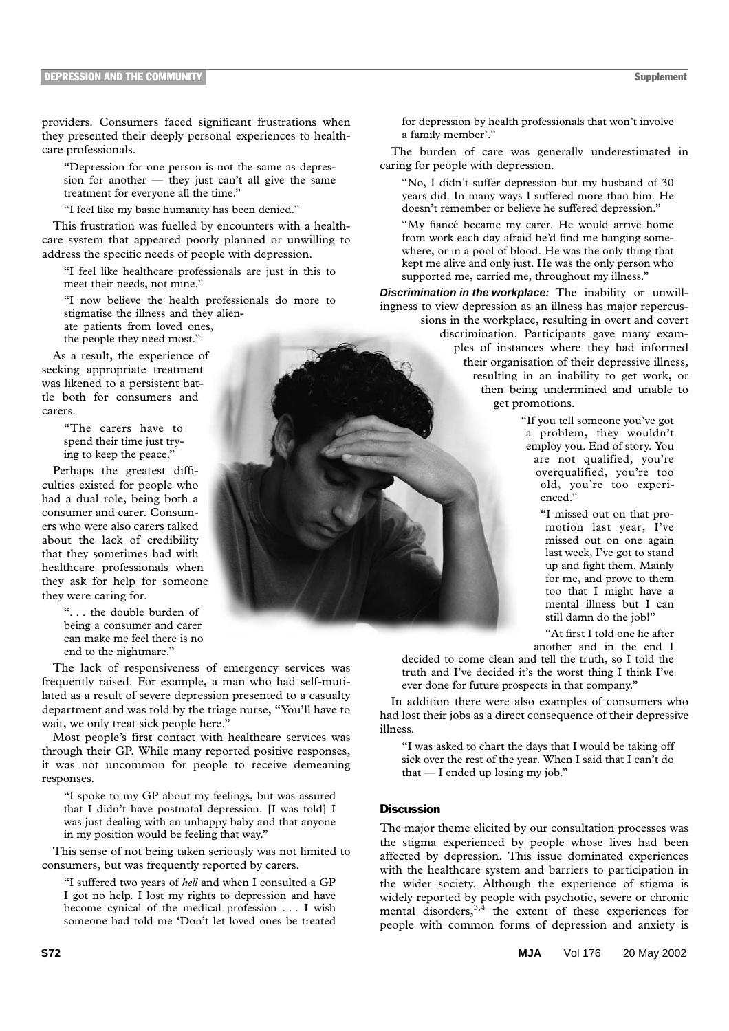providers. Consumers faced significant frustrations when they presented their deeply personal experiences to healthcare professionals.

"Depression for one person is not the same as depression for another  $-$  they just can't all give the same treatment for everyone all the time."

"I feel like my basic humanity has been denied."

This frustration was fuelled by encounters with a healthcare system that appeared poorly planned or unwilling to address the specific needs of people with depression.

"I feel like healthcare professionals are just in this to meet their needs, not mine."

"I now believe the health professionals do more to stigmatise the illness and they alien-

ate patients from loved ones, the people they need most."

As a result, the experience of seeking appropriate treatment was likened to a persistent battle both for consumers and carers.

> "The carers have to spend their time just trying to keep the peace."

Perhaps the greatest difficulties existed for people who had a dual role, being both a consumer and carer. Consumers who were also carers talked about the lack of credibility that they sometimes had with healthcare professionals when they ask for help for someone they were caring for.

> ". . . the double burden of being a consumer and carer can make me feel there is no end to the nightmare."

The lack of responsiveness of emergency services was frequently raised. For example, a man who had self-mutilated as a result of severe depression presented to a casualty department and was told by the triage nurse, "You'll have to wait, we only treat sick people here."

Most people's first contact with healthcare services was through their GP. While many reported positive responses, it was not uncommon for people to receive demeaning responses.

"I spoke to my GP about my feelings, but was assured that I didn't have postnatal depression. [I was told] I was just dealing with an unhappy baby and that anyone in my position would be feeling that way."

This sense of not being taken seriously was not limited to consumers, but was frequently reported by carers.

"I suffered two years of *hell* and when I consulted a GP I got no help. I lost my rights to depression and have become cynical of the medical profession . . . I wish someone had told me 'Don't let loved ones be treated for depression by health professionals that won't involve a family member'."

The burden of care was generally underestimated in caring for people with depression.

"No, I didn't suffer depression but my husband of 30 years did. In many ways I suffered more than him. He doesn't remember or believe he suffered depression."

"My fiancé became my carer. He would arrive home from work each day afraid he'd find me hanging somewhere, or in a pool of blood. He was the only thing that kept me alive and only just. He was the only person who supported me, carried me, throughout my illness."

**Discrimination in the workplace:** The inability or unwillingness to view depression as an illness has major repercussions in the workplace, resulting in overt and covert discrimination. Participants gave many examples of instances where they had informed their organisation of their depressive illness, resulting in an inability to get work, or then being undermined and unable to

get promotions.

"If you tell someone you've got a problem, they wouldn't employ you. End of story. You are not qualified, you're overqualified, you're too old, you're too experienced."

> "I missed out on that promotion last year, I've missed out on one again last week, I've got to stand up and fight them. Mainly for me, and prove to them too that I might have a mental illness but I can still damn do the job!"

"At first I told one lie after another and in the end I

decided to come clean and tell the truth, so I told the truth and I've decided it's the worst thing I think I've ever done for future prospects in that company."

In addition there were also examples of consumers who had lost their jobs as a direct consequence of their depressive illness.

"I was asked to chart the days that I would be taking off sick over the rest of the year. When I said that I can't do that — I ended up losing my job."

# Discussion

The major theme elicited by our consultation processes was the stigma experienced by people whose lives had been affected by depression. This issue dominated experiences with the healthcare system and barriers to participation in the wider society. Although the experience of stigma is widely reported by people with psychotic, severe or chronic mental disorders,  $3,4$  the extent of these experiences for people with common forms of depression and anxiety is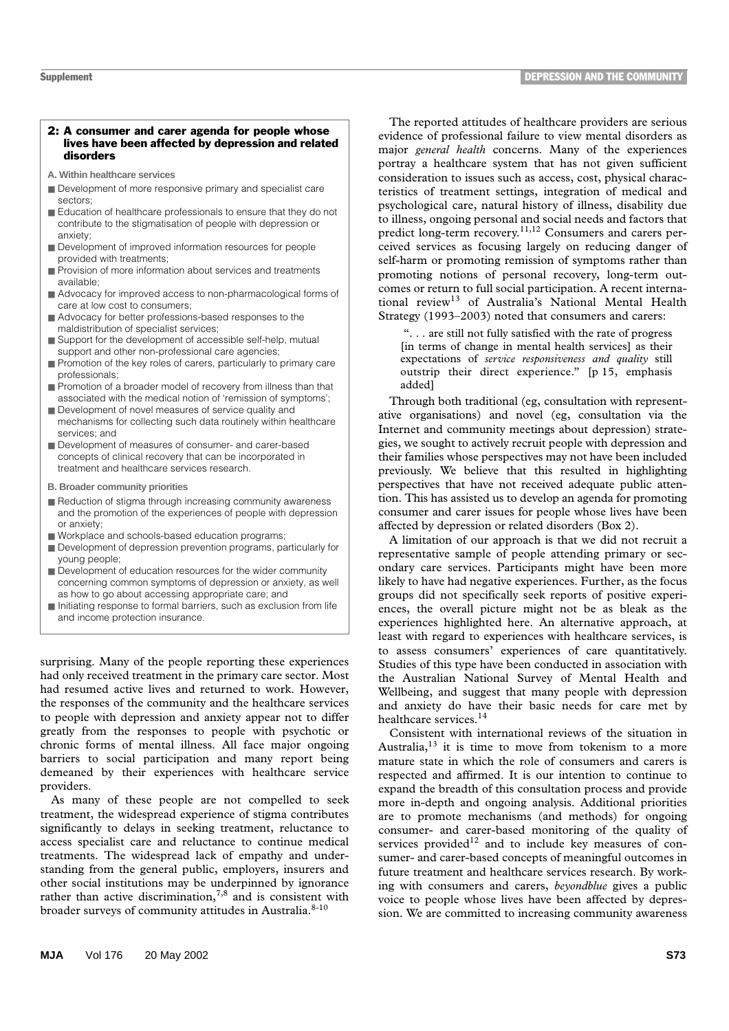#### 2: A consumer and carer agenda for people whose lives have been affected by depression and related disorders

- **A. Within healthcare services**
- Development of more responsive primary and specialist care sectors;
- Education of healthcare professionals to ensure that they do not contribute to the stigmatisation of people with depression or anxiety;
- Development of improved information resources for people provided with treatments;
- Provision of more information about services and treatments available;
- Advocacy for improved access to non-pharmacological forms of care at low cost to consumers;
- Advocacy for better professions-based responses to the maldistribution of specialist services;
- Support for the development of accessible self-help, mutual support and other non-professional care agencies;
- Promotion of the key roles of carers, particularly to primary care professionals;
- Promotion of a broader model of recovery from illness than that associated with the medical notion of 'remission of symptoms';
- Development of novel measures of service quality and mechanisms for collecting such data routinely within healthcare services; and
- Development of measures of consumer- and carer-based concepts of clinical recovery that can be incorporated in treatment and healthcare services research.
- **B. Broader community priorities**
- Reduction of stigma through increasing community awareness and the promotion of the experiences of people with depression or anxiety;
- Workplace and schools-based education programs;
- Development of depression prevention programs, particularly for young people;
- Development of education resources for the wider community concerning common symptoms of depression or anxiety, as well as how to go about accessing appropriate care; and
- Initiating response to formal barriers, such as exclusion from life and income protection insurance.

surprising. Many of the people reporting these experiences had only received treatment in the primary care sector. Most had resumed active lives and returned to work. However, the responses of the community and the healthcare services to people with depression and anxiety appear not to differ greatly from the responses to people with psychotic or chronic forms of mental illness. All face major ongoing barriers to social participation and many report being demeaned by their experiences with healthcare service providers.

As many of these people are not compelled to seek treatment, the widespread experience of stigma contributes significantly to delays in seeking treatment, reluctance to access specialist care and reluctance to continue medical treatments. The widespread lack of empathy and understanding from the general public, employers, insurers and other social institutions may be underpinned by ignorance rather than active discrimination,  $7,8$  and is consistent with broader surveys of community attitudes in Australia.<sup>8-10</sup>

The reported attitudes of healthcare providers are serious evidence of professional failure to view mental disorders as major *general health* concerns. Many of the experiences portray a healthcare system that has not given sufficient consideration to issues such as access, cost, physical characteristics of treatment settings, integration of medical and psychological care, natural history of illness, disability due to illness, ongoing personal and social needs and factors that predict long-term recovery.<sup>11,12</sup> Consumers and carers perceived services as focusing largely on reducing danger of self-harm or promoting remission of symptoms rather than promoting notions of personal recovery, long-term outcomes or return to full social participation. A recent international review<sup>13</sup> of Australia's National Mental Health Strategy (1993–2003) noted that consumers and carers:

 ". . . are still not fully satisfied with the rate of progress [in terms of change in mental health services] as their expectations of *service responsiveness and quality* still outstrip their direct experience." [p 15, emphasis added]

Through both traditional (eg, consultation with representative organisations) and novel (eg, consultation via the Internet and community meetings about depression) strategies, we sought to actively recruit people with depression and their families whose perspectives may not have been included previously. We believe that this resulted in highlighting perspectives that have not received adequate public attention. This has assisted us to develop an agenda for promoting consumer and carer issues for people whose lives have been affected by depression or related disorders (Box 2).

A limitation of our approach is that we did not recruit a representative sample of people attending primary or secondary care services. Participants might have been more likely to have had negative experiences. Further, as the focus groups did not specifically seek reports of positive experiences, the overall picture might not be as bleak as the experiences highlighted here. An alternative approach, at least with regard to experiences with healthcare services, is to assess consumers' experiences of care quantitatively. Studies of this type have been conducted in association with the Australian National Survey of Mental Health and Wellbeing, and suggest that many people with depression and anxiety do have their basic needs for care met by healthcare services.<sup>14</sup>

Consistent with international reviews of the situation in Australia, $13$  it is time to move from tokenism to a more mature state in which the role of consumers and carers is respected and affirmed. It is our intention to continue to expand the breadth of this consultation process and provide more in-depth and ongoing analysis. Additional priorities are to promote mechanisms (and methods) for ongoing consumer- and carer-based monitoring of the quality of services provided $12$  and to include key measures of consumer- and carer-based concepts of meaningful outcomes in future treatment and healthcare services research. By working with consumers and carers, *beyondblue* gives a public voice to people whose lives have been affected by depression. We are committed to increasing community awareness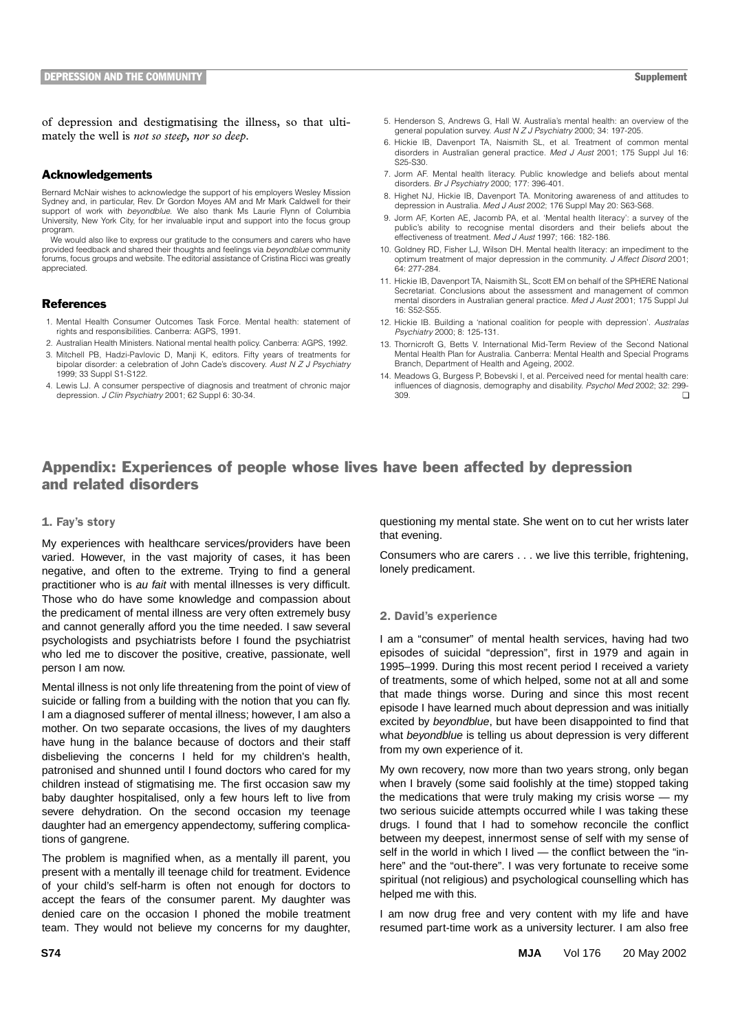of depression and destigmatising the illness, so that ultimately the well is *not so steep, nor so deep*.

# Acknowledgements

Bernard McNair wishes to acknowledge the support of his employers Wesley Mission Sydney and, in particular, Rev. Dr Gordon Moyes AM and Mr Mark Caldwell for their support of work with *beyondblue*. We also thank Ms Laurie Flynn of Columbia University, New York City, for her invaluable input and support into the focus group program.

We would also like to express our gratitude to the consumers and carers who have provided feedback and shared their thoughts and feelings via *beyondblue* community forums, focus groups and website. The editorial assistance of Cristina Ricci was greatly appreciated.

# **References**

- 1. Mental Health Consumer Outcomes Task Force. Mental health: statement of rights and responsibilities. Canberra: AGPS, 1991.
- 2. Australian Health Ministers. National mental health policy. Canberra: AGPS, 1992.
- 3. Mitchell PB, Hadzi-Pavlovic D, Manji K, editors. Fifty years of treatments for bipolar disorder: a celebration of John Cade's discovery. *Aust N Z J Psychiatry* 1999; 33 Suppl S1-S122.
- 4. Lewis LJ. A consumer perspective of diagnosis and treatment of chronic major depression. *J Clin Psychiatry* 2001; 62 Suppl 6: 30-34.
- 5. Henderson S, Andrews G, Hall W. Australia's mental health: an overview of the general population survey. *Aust N Z J Psychiatry* 2000; 34: 197-205.
- 6. Hickie IB, Davenport TA, Naismith SL, et al. Treatment of common mental disorders in Australian general practice. *Med J Aust* 2001; 175 Suppl Jul 16: S25-S30.
- 7. Jorm AF. Mental health literacy. Public knowledge and beliefs about mental disorders. *Br J Psychiatry* 2000; 177: 396-401.
- 8. Highet NJ, Hickie IB, Davenport TA. Monitoring awareness of and attitudes to depression in Australia. *Med J Aust* 2002; 176 Suppl May 20: S63-S68.
- 9. Jorm AF, Korten AE, Jacomb PA, et al. 'Mental health literacy': a survey of the public's ability to recognise mental disorders and their beliefs about the effectiveness of treatment. *Med J Aust* 1997; 166: 182-186.
- 10. Goldney RD, Fisher LJ, Wilson DH. Mental health literacy: an impediment to the optimum treatment of major depression in the community. *J Affect Disord* 2001; 64: 277-284.
- 11. Hickie IB, Davenport TA, Naismith SL, Scott EM on behalf of the SPHERE National Secretariat. Conclusions about the assessment and management of common mental disorders in Australian general practice. *Med J Aust* 2001; 175 Suppl Jul 16: S52-S55.
- 12. Hickie IB. Building a 'national coalition for people with depression'. *Australas Psychiatry* 2000; 8: 125-131.
- 13. Thornicroft G, Betts V. International Mid-Term Review of the Second National Mental Health Plan for Australia. Canberra: Mental Health and Special Programs Branch, Department of Health and Ageing, 2002.
- 14. Meadows G, Burgess P, Bobevski I, et al. Perceived need for mental health care: influences of diagnosis, demography and disability. *Psychol Med* 2002; 32: 299-  $309.$

# Appendix: Experiences of people whose lives have been affected by depression and related disorders

#### 1. Fay's story

My experiences with healthcare services/providers have been varied. However, in the vast majority of cases, it has been negative, and often to the extreme. Trying to find a general practitioner who is au fait with mental illnesses is very difficult. Those who do have some knowledge and compassion about the predicament of mental illness are very often extremely busy and cannot generally afford you the time needed. I saw several psychologists and psychiatrists before I found the psychiatrist who led me to discover the positive, creative, passionate, well person I am now.

Mental illness is not only life threatening from the point of view of suicide or falling from a building with the notion that you can fly. I am a diagnosed sufferer of mental illness; however, I am also a mother. On two separate occasions, the lives of my daughters have hung in the balance because of doctors and their staff disbelieving the concerns I held for my children's health, patronised and shunned until I found doctors who cared for my children instead of stigmatising me. The first occasion saw my baby daughter hospitalised, only a few hours left to live from severe dehydration. On the second occasion my teenage daughter had an emergency appendectomy, suffering complications of gangrene.

The problem is magnified when, as a mentally ill parent, you present with a mentally ill teenage child for treatment. Evidence of your child's self-harm is often not enough for doctors to accept the fears of the consumer parent. My daughter was denied care on the occasion I phoned the mobile treatment team. They would not believe my concerns for my daughter, questioning my mental state. She went on to cut her wrists later that evening.

Consumers who are carers . . . we live this terrible, frightening, lonely predicament.

#### 2. David's experience

I am a "consumer" of mental health services, having had two episodes of suicidal "depression", first in 1979 and again in 1995–1999. During this most recent period I received a variety of treatments, some of which helped, some not at all and some that made things worse. During and since this most recent episode I have learned much about depression and was initially excited by beyondblue, but have been disappointed to find that what beyondblue is telling us about depression is very different from my own experience of it.

My own recovery, now more than two years strong, only began when I bravely (some said foolishly at the time) stopped taking the medications that were truly making my crisis worse — my two serious suicide attempts occurred while I was taking these drugs. I found that I had to somehow reconcile the conflict between my deepest, innermost sense of self with my sense of self in the world in which I lived — the conflict between the "inhere" and the "out-there". I was very fortunate to receive some spiritual (not religious) and psychological counselling which has helped me with this.

I am now drug free and very content with my life and have resumed part-time work as a university lecturer. I am also free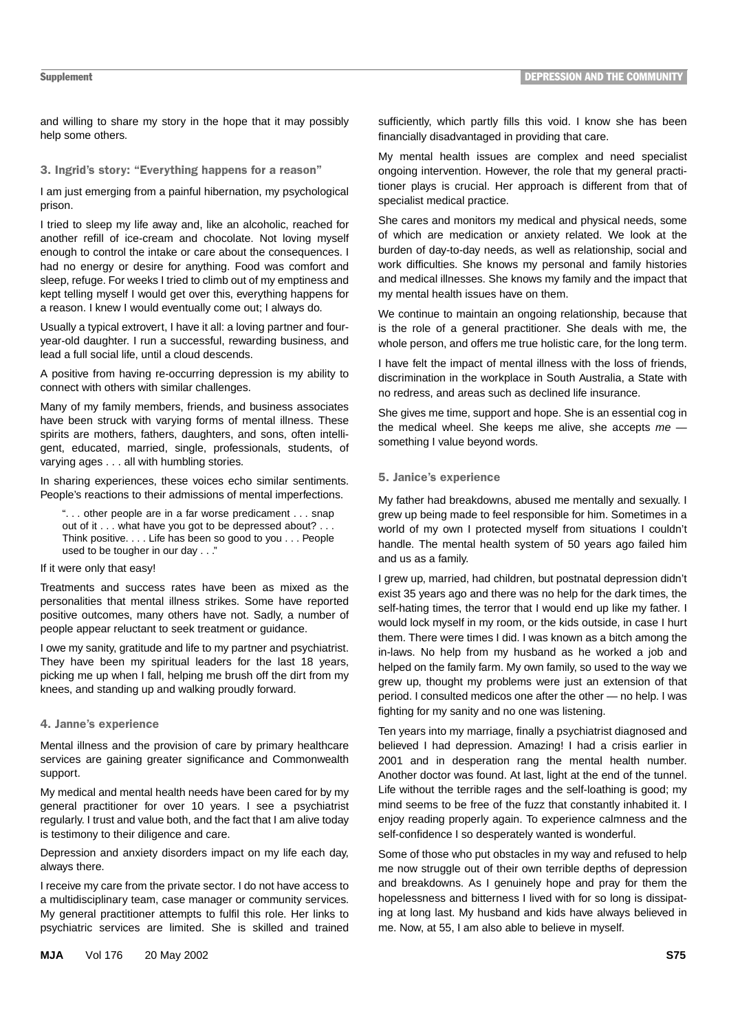and willing to share my story in the hope that it may possibly help some others.

# 3. Ingrid's story: "Everything happens for a reason"

I am just emerging from a painful hibernation, my psychological prison.

I tried to sleep my life away and, like an alcoholic, reached for another refill of ice-cream and chocolate. Not loving myself enough to control the intake or care about the consequences. I had no energy or desire for anything. Food was comfort and sleep, refuge. For weeks I tried to climb out of my emptiness and kept telling myself I would get over this, everything happens for a reason. I knew I would eventually come out; I always do.

Usually a typical extrovert, I have it all: a loving partner and fouryear-old daughter. I run a successful, rewarding business, and lead a full social life, until a cloud descends.

A positive from having re-occurring depression is my ability to connect with others with similar challenges.

Many of my family members, friends, and business associates have been struck with varying forms of mental illness. These spirits are mothers, fathers, daughters, and sons, often intelligent, educated, married, single, professionals, students, of varying ages . . . all with humbling stories.

In sharing experiences, these voices echo similar sentiments. People's reactions to their admissions of mental imperfections.

". . . other people are in a far worse predicament . . . snap out of it . . . what have you got to be depressed about? . . . Think positive. . . . Life has been so good to you . . . People used to be tougher in our day . . ."

# If it were only that easy!

Treatments and success rates have been as mixed as the personalities that mental illness strikes. Some have reported positive outcomes, many others have not. Sadly, a number of people appear reluctant to seek treatment or guidance.

I owe my sanity, gratitude and life to my partner and psychiatrist. They have been my spiritual leaders for the last 18 years, picking me up when I fall, helping me brush off the dirt from my knees, and standing up and walking proudly forward.

#### 4. Janne's experience

Mental illness and the provision of care by primary healthcare services are gaining greater significance and Commonwealth support.

My medical and mental health needs have been cared for by my general practitioner for over 10 years. I see a psychiatrist regularly. I trust and value both, and the fact that I am alive today is testimony to their diligence and care.

Depression and anxiety disorders impact on my life each day, always there.

I receive my care from the private sector. I do not have access to a multidisciplinary team, case manager or community services. My general practitioner attempts to fulfil this role. Her links to psychiatric services are limited. She is skilled and trained

sufficiently, which partly fills this void. I know she has been financially disadvantaged in providing that care.

My mental health issues are complex and need specialist ongoing intervention. However, the role that my general practitioner plays is crucial. Her approach is different from that of specialist medical practice.

She cares and monitors my medical and physical needs, some of which are medication or anxiety related. We look at the burden of day-to-day needs, as well as relationship, social and work difficulties. She knows my personal and family histories and medical illnesses. She knows my family and the impact that my mental health issues have on them.

We continue to maintain an ongoing relationship, because that is the role of a general practitioner. She deals with me, the whole person, and offers me true holistic care, for the long term.

I have felt the impact of mental illness with the loss of friends, discrimination in the workplace in South Australia, a State with no redress, and areas such as declined life insurance.

She gives me time, support and hope. She is an essential cog in the medical wheel. She keeps me alive, she accepts  $me$  something I value beyond words.

# 5. Janice's experience

My father had breakdowns, abused me mentally and sexually. I grew up being made to feel responsible for him. Sometimes in a world of my own I protected myself from situations I couldn't handle. The mental health system of 50 years ago failed him and us as a family.

I grew up, married, had children, but postnatal depression didn't exist 35 years ago and there was no help for the dark times, the self-hating times, the terror that I would end up like my father. I would lock myself in my room, or the kids outside, in case I hurt them. There were times I did. I was known as a bitch among the in-laws. No help from my husband as he worked a job and helped on the family farm. My own family, so used to the way we grew up, thought my problems were just an extension of that period. I consulted medicos one after the other — no help. I was fighting for my sanity and no one was listening.

Ten years into my marriage, finally a psychiatrist diagnosed and believed I had depression. Amazing! I had a crisis earlier in 2001 and in desperation rang the mental health number. Another doctor was found. At last, light at the end of the tunnel. Life without the terrible rages and the self-loathing is good; my mind seems to be free of the fuzz that constantly inhabited it. I enjoy reading properly again. To experience calmness and the self-confidence I so desperately wanted is wonderful.

Some of those who put obstacles in my way and refused to help me now struggle out of their own terrible depths of depression and breakdowns. As I genuinely hope and pray for them the hopelessness and bitterness I lived with for so long is dissipating at long last. My husband and kids have always believed in me. Now, at 55, I am also able to believe in myself.